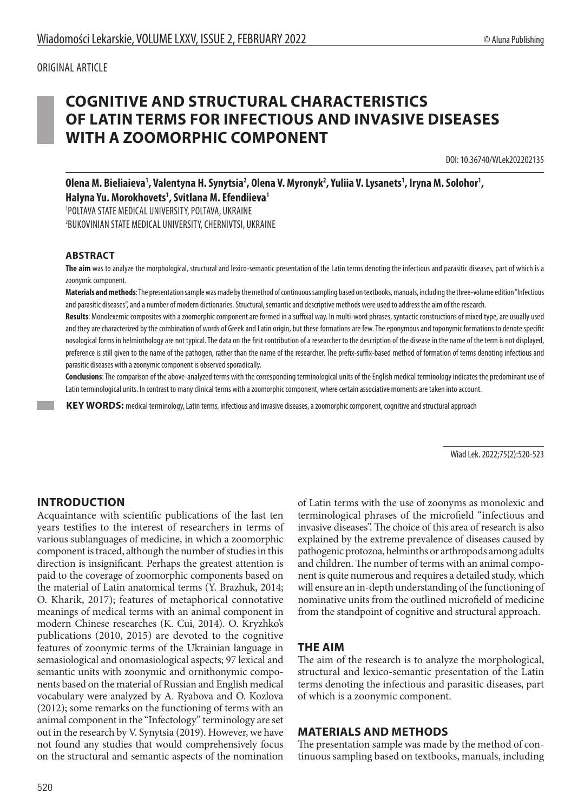# **COGNITIVE AND STRUCTURAL CHARACTERISTICS OF LATIN TERMS FOR INFECTIOUS AND INVASIVE DISEASES WITH A ZOOMORPHIC COMPONENT**

DOI: 10.36740/WLek202202135

Olena M. Bieliaieva<sup>1</sup>, Valentyna H. Synytsia<sup>2</sup>, Olena V. Myronyk<sup>2</sup>, Yuliia V. Lysanets<sup>1</sup>, Iryna M. Solohor<sup>1</sup>, **Halyna Yu. Morokhovets1 , Svitlana M. Efendiieva1**

1 POLTAVA STATE MEDICAL UNIVERSITY, POLTAVA, UKRAINE

2 BUKOVINIAN STATE MEDICAL UNIVERSITY, CHERNIVTSI, UKRAINE

#### **ABSTRACT**

**The aim** was to analyze the morphological, structural and lexico-semantic presentation of the Latin terms denoting the infectious and parasitic diseases, part of which is a zoonymic component.

**Materials and methods**: The presentation sample was made by the method of continuous sampling based on textbooks, manuals, including the three-volume edition"Infectious and parasitic diseases", and a number of modern dictionaries. Structural, semantic and descriptive methods were used to address the aim of the research.

**Results**: Monolexemic composites with a zoomorphic component are formed in a suffixal way. In multi-word phrases, syntactic constructions of mixed type, are usually used and they are characterized by the combination of words of Greek and Latin origin, but these formations are few. The eponymous and toponymic formations to denote specific nosological forms in helminthology are not typical. The data on the first contribution of a researcher to the description of the disease in the name of the term is not displayed, preference is still given to the name of the pathogen, rather than the name of the researcher. The prefix-suffix-based method of formation of terms denoting infectious and parasitic diseases with a zoonymic component is observed sporadically.

**Conclusions**: The comparison of the above-analyzed terms with the corresponding terminological units of the English medical terminology indicates the predominant use of Latin terminological units. In contrast to many clinical terms with a zoomorphic component, where certain associative moments are taken into account.

 **KEY WORDS:** medical terminology, Latin terms, infectious and invasive diseases, a zoomorphic component, cognitive and structural approach

Wiad Lek. 2022;75(2):520-523

#### **INTRODUCTION**

Acquaintance with scientific publications of the last ten years testifies to the interest of researchers in terms of various sublanguages of medicine, in which a zoomorphic component is traced, although the number of studies in this direction is insignificant. Perhaps the greatest attention is paid to the coverage of zoomorphic components based on the material of Latin anatomical terms (Y. Brazhuk, 2014; O. Kharik, 2017); features of metaphorical connotative meanings of medical terms with an animal component in modern Chinese researches (K. Cui, 2014). O. Kryzhko's publications (2010, 2015) are devoted to the cognitive features of zoonymic terms of the Ukrainian language in semasiological and onomasiological aspects; 97 lexical and semantic units with zoonymic and ornithonymic components based on the material of Russian and English medical vocabulary were analyzed by A. Ryabova and O. Kozlova (2012); some remarks on the functioning of terms with an animal component in the "Infectology" terminology are set out in the research by V. Synytsia (2019). However, we have not found any studies that would comprehensively focus on the structural and semantic aspects of the nomination

of Latin terms with the use of zoonyms as monolexic and terminological phrases of the microfield "infectious and invasive diseases". The choice of this area of research is also explained by the extreme prevalence of diseases caused by pathogenic protozoa, helminths or arthropods among adults and children. The number of terms with an animal component is quite numerous and requires a detailed study, which will ensure an in-depth understanding of the functioning of nominative units from the outlined microfield of medicine from the standpoint of cognitive and structural approach.

#### **THE AIM**

The aim of the research is to analyze the morphological, structural and lexico-semantic presentation of the Latin terms denoting the infectious and parasitic diseases, part of which is a zoonymic component.

#### **MATERIALS AND METHODS**

The presentation sample was made by the method of continuous sampling based on textbooks, manuals, including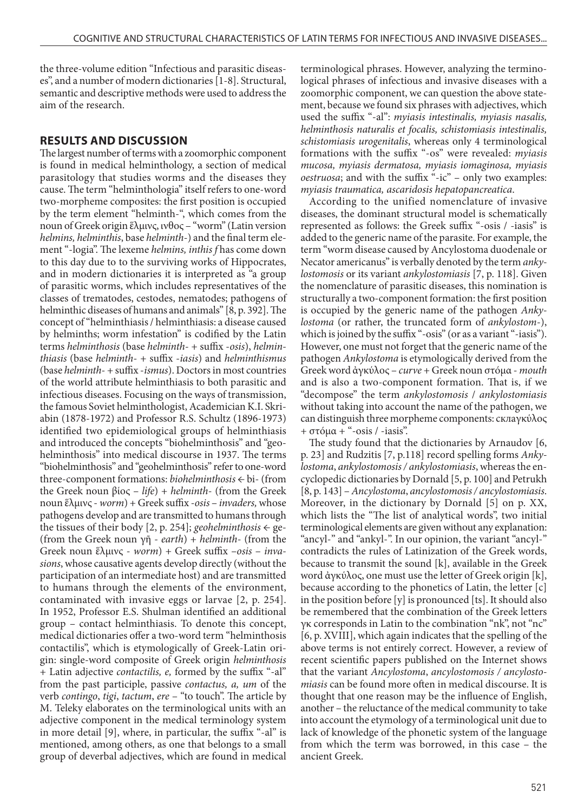the three-volume edition "Infectious and parasitic diseases", and a number of modern dictionaries [1-8]. Structural, semantic and descriptive methods were used to address the aim of the research.

### **RESULTS AND DISCUSSION**

The largest number of terms with a zoomorphic component is found in medical helminthology, a section of medical parasitology that studies worms and the diseases they cause. The term "helminthologia" itself refers to one-word two-morpheme composites: the first position is occupied by the term element "helminth-", which comes from the noun of Greek origin ἕλμινς, ινθος – "worm" (Latin version *helmins, helminthis*, base *helminth*-) and the final term element "-logia". The lexeme *helmins, inthis f* has come down to this day due to to the surviving works of Hippocrates, and in modern dictionaries it is interpreted as "a group of parasitic worms, which includes representatives of the classes of trematodes, cestodes, nematodes; pathogens of helminthic diseases of humans and animals" [8, p. 392]. The concept of "helminthiasis / helminthiasis: a disease caused by helminths; worm infestation" is codified by the Latin terms *helminthosis* (base *helminth*- + suffix -*osis*), *helminthiasis* (base *helminth*- + suffix -*iasis*) and *helminthismus* (base *helminth*- + suffix -*ismus*). Doctors in most countries of the world attribute helminthiasis to both parasitic and infectious diseases. Focusing on the ways of transmission, the famous Soviet helminthologist, Academician K.I. Skriabin (1878-1972) and Professor R.S. Schultz (1896-1973) identified two epidemiological groups of helminthiasis and introduced the concepts "biohelminthosis" and "geohelminthosis" into medical discourse in 1937. The terms "biohelminthosis" and "geohelminthosis" refer to one-word three-component formations: *biohelminthosis* ← bi- (from the Greek noun βίος – *life*) + *helminth*- (from the Greek noun ἕλμινς - *worm*) + Greek suffix -*osis* – *invaders,* whose pathogens develop and are transmitted to humans through the tissues of their body  $[2, p. 254]$ ; *geohelminthosis*  $\leftarrow$  ge-(from the Greek noun γῆ - *earth*) + *helminth*- (from the Greek noun ἕλμινς - *worm*) + Greek suffix –*osis* – *invasions*, whose causative agents develop directly (without the participation of an intermediate host) and are transmitted to humans through the elements of the environment, contaminated with invasive eggs or larvae [2, p. 254]. In 1952, Professor E.S. Shulman identified an additional group – contact helminthiasis. To denote this concept, medical dictionaries offer a two-word term "helminthosis contactilis", which is etymologically of Greek-Latin origin: single-word composite of Greek origin *helminthosis* + Latin adjective *contactilis, e,* formed by the suffix "-al" from the past participle, passive *contactus, a, um* of the verb *contingo*, *tigi*, *tactum*, *ere* – "to touch". The article by M. Teleky elaborates on the terminological units with an adjective component in the medical terminology system in more detail [9], where, in particular, the suffix "-al" is mentioned, among others, as one that belongs to a small group of deverbal adjectives, which are found in medical terminological phrases. However, analyzing the terminological phrases of infectious and invasive diseases with a zoomorphic component, we can question the above statement, because we found six phrases with adjectives, which used the suffix "-al": *myiasis intestinalis, myiasis nasalis, helminthosis naturalis et focalis, schistomiasis intestinalis, schistomiasis urogenitalis*, whereas only 4 terminological formations with the suffix "-os" were revealed: *myiasis mucosa, myiasis dermatosa, myiasis iomaginosa, myiasis oestruosa*; and with the suffix "-ic" – only two examples: *myiasis traumatica, ascaridosis hepatopancreatica*.

According to the unified nomenclature of invasive diseases, the dominant structural model is schematically represented as follows: the Greek suffix "-osis / -iasis" is added to the generic name of the parasite. For example, the term "worm disease caused by Ancylostoma duodenale or Necator americanus" is verbally denoted by the term *ankylostomosis* or its variant *ankylostomiasis* [7, p. 118]. Given the nomenclature of parasitic diseases, this nomination is structurally a two-component formation: the first position is occupied by the generic name of the pathogen *Ankylostoma* (or rather, the truncated form of *ankylostom*-), which is joined by the suffix "-osis" (or as a variant "-iasis"). However, one must not forget that the generic name of the pathogen *Ankylostoma* is etymologically derived from the Greek word ἀγκύλος – *curve* + Greek noun στóμα - *mouth* and is also a two-component formation. That is, if we "decompose" the term *ankylostomosis* / *ankylostomiasis* without taking into account the name of the pathogen, we can distinguish three morpheme components: склаγκύλος + στóμα + "-osis / -iasis".

The study found that the dictionaries by Arnaudov [6, p. 23] and Rudzitis [7, p.118] record spelling forms *Ankylostoma*, *ankylostomosis / ankylostomiasis*, whereas the encyclopedic dictionaries by Dornald [5, p. 100] and Petrukh [8, p. 143] – *Ancylostoma*, *ancylostomosis / ancylostomiasis*. Moreover, in the dictionary by Dornald [5] on p. XX, which lists the "The list of analytical words", two initial terminological elements are given without any explanation: "ancyl-" and "ankyl-". In our opinion, the variant "ancyl-" contradicts the rules of Latinization of the Greek words, because to transmit the sound [k], available in the Greek word ἀγκύλος, one must use the letter of Greek origin [k], because according to the phonetics of Latin, the letter [c] in the position before [y] is pronounced [ts]. It should also be remembered that the combination of the Greek letters γκ corresponds in Latin to the combination "nk", not "nc" [6, p. XVIII], which again indicates that the spelling of the above terms is not entirely correct. However, a review of recent scientific papers published on the Internet shows that the variant *Ancylostoma*, *ancylostomosis / ancylostomiasis* can be found more often in medical discourse. It is thought that one reason may be the influence of English, another – the reluctance of the medical community to take into account the etymology of a terminological unit due to lack of knowledge of the phonetic system of the language from which the term was borrowed, in this case – the ancient Greek.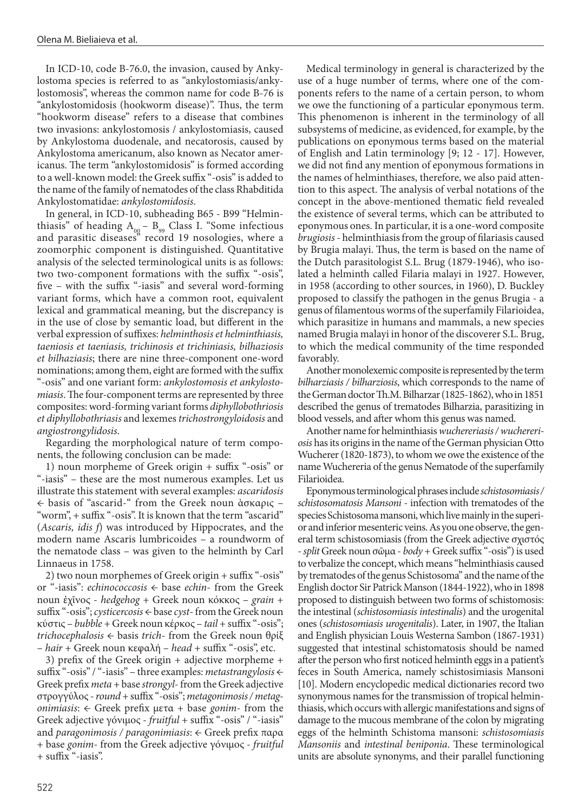In ICD-10, code B-76.0, the invasion, caused by Ankylostoma species is referred to as "ankylostomiasis/ankylostomosis", whereas the common name for code B-76 is "ankylostomidosis (hookworm disease)". Thus, the term "hookworm disease" refers to a disease that combines two invasions: ankylostomosis / ankylostomiasis, caused by Ankylostoma duodenale, and necatorosis, caused by Ankylostoma americanum, also known as Necator americanus. The term "ankylostomidosis" is formed according to a well-known model: the Greek suffix "-osis" is added to the name of the family of nematodes of the class Rhabditida Ankylostomatidae: *ankylostomidosis*.

In general, in ICD-10, subheading B65 - B99 "Helminthiasis" of heading  $A_{0g}$  –  $B_{99}$  Class I. "Some infectious and parasitic diseases" record 19 nosologies, where a zoomorphic component is distinguished. Quantitative analysis of the selected terminological units is as follows: two two-component formations with the suffix "-osis", five – with the suffix "-iasis" and several word-forming variant forms, which have a common root, equivalent lexical and grammatical meaning, but the discrepancy is in the use of close by semantic load, but different in the verbal expression of suffixes: *helminthosis et helminthiasis, taeniosis et taeniasis, trichinosis et trichiniasis, bilhaziosis et bilhaziasis*; there are nine three-component one-word nominations; among them, eight are formed with the suffix "-osis" and one variant form: *ankylostomosis et ankylostomiasis*. The four-component terms are represented by three composites: word-forming variant forms *diphyllobothriosis et diphyllobothriasis* and lexemes *trichostrongyloidosis* and *angiostrongylidosis*.

Regarding the morphological nature of term components, the following conclusion can be made:

1) noun morpheme of Greek origin + suffix "-osis" or "-iasis" – these are the most numerous examples. Let us illustrate this statement with several examples: *ascaridosis* ← basis of "ascarid-" from the Greek noun ὰσκαρις – "worm", + suffix "-osis". It is known that the term "ascarid" (*Ascaris, idis f*) was introduced by Hippocrates, and the modern name Ascaris lumbricoides – a roundworm of the nematode class – was given to the helminth by Carl Linnaeus in 1758.

2) two noun morphemes of Greek origin + suffix "-osis" or "-iasis": *echinococcosis* ← base *echin*- from the Greek noun ἐχῖνος - *hedgehog* + Greek noun κóκκος – *grain* + suffix "-osis"; *cysticercosis* ← base *cyst*- from the Greek noun κύστις – *bubble* + Greek noun κέρκος – *tail* + suffix "-osis"; *trichocephalosis* ← basis *trich*- from the Greek noun θρίξ – *hair* + Greek noun κεφαλή – *head* + suffix "-osis", etc.

3) prefix of the Greek origin + adjective morpheme + suffix "-osis" / "-iasis" – three examples: *metastrangylosis* ← Greek prefix *meta* + base *strongyl*- from the Greek adjective στρογγύλος - *round* + suffix "-osis"; *metagonimosis / metagonimiasis*: ← Greek prefix μετα + base *gonim*- from the Greek adjective γóνιμος - *fruitful* + suffix "-osis" / "-iasis" and *paragonimosis / paragonimiasis*: ← Greek prefix παρα + base *gonim*- from the Greek adjective γóνιμος - *fruitful* + suffix "-iasis".

Medical terminology in general is characterized by the use of a huge number of terms, where one of the components refers to the name of a certain person, to whom we owe the functioning of a particular eponymous term. This phenomenon is inherent in the terminology of all subsystems of medicine, as evidenced, for example, by the publications on eponymous terms based on the material of English and Latin terminology [9; 12 - 17]. However, we did not find any mention of eponymous formations in the names of helminthiases, therefore, we also paid attention to this aspect. The analysis of verbal notations of the concept in the above-mentioned thematic field revealed the existence of several terms, which can be attributed to eponymous ones. In particular, it is a one-word composite *brugiosis* - helminthiasis from the group of filariasis caused by Brugia malayi. Thus, the term is based on the name of the Dutch parasitologist S.L. Brug (1879-1946), who isolated a helminth called Filaria malayi in 1927. However, in 1958 (according to other sources, in 1960), D. Buckley proposed to classify the pathogen in the genus Brugia - a genus of filamentous worms of the superfamily Filarioidea, which parasitize in humans and mammals, a new species named Brugia malayi in honor of the discoverer S.L. Brug, to which the medical community of the time responded favorably.

Another monolexemic composite is represented by the term *bilharziasis / bilharziosis*, which corresponds to the name of the German doctor Th.M. Bilharzar (1825-1862), who in 1851 described the genus of trematodes Bilharzia, parasitizing in blood vessels, and after whom this genus was named.

Another name for helminthiasis *wuchereriasis / wuchereriosis* has its origins in the name of the German physician Otto Wucherer (1820-1873), to whom we owe the existence of the name Wuchereria of the genus Nematode of the superfamily Filarioidea.

Eponymous terminological phrases include *schistosomiasis / schistosomatosis Mansoni* - infection with trematodes of the species Schistosoma mansoni, which live mainly in the superior and inferior mesenteric veins. As you one observe, the general term schistosomiasis (from the Greek adjective σχιστóς - *split* Greek noun σῶμα - *body* + Greek suffix "-osis") is used to verbalize the concept, which means "helminthiasis caused by trematodes of the genus Schistosoma" and the name of the English doctor Sir Patrick Manson (1844-1922), who in 1898 proposed to distinguish between two forms of schistomosis: the intestinal (*schistosomiasis intestinalis*) and the urogenital ones (*schistosomiasis urogenitalis*). Later, in 1907, the Italian and English physician Louis Westerna Sambon (1867-1931) suggested that intestinal schistomatosis should be named after the person who first noticed helminth eggs in a patient's feces in South America, namely schistosimiasis Mansoni [10]. Modern encyclopedic medical dictionaries record two synonymous names for the transmission of tropical helminthiasis, which occurs with allergic manifestations and signs of damage to the mucous membrane of the colon by migrating eggs of the helminth Schistoma mansoni: *schistosomiasis Mansoniis* and *intestinal beniponia*. These terminological units are absolute synonyms, and their parallel functioning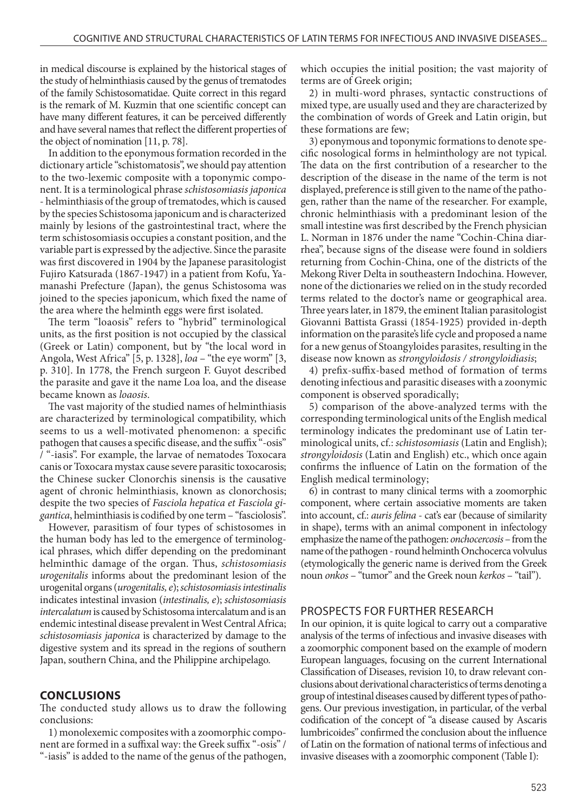in medical discourse is explained by the historical stages of the study of helminthiasis caused by the genus of trematodes of the family Schistosomatidae. Quite correct in this regard is the remark of М. Kuzmin that one scientific concept can have many different features, it can be perceived differently and have several names that reflect the different properties of the object of nomination [11, p. 78].

In addition to the eponymous formation recorded in the dictionary article "schistomatosis", we should pay attention to the two-lexemic composite with a toponymic component. It is a terminological phrase *schistosomiasis japonica* - helminthiasis of the group of trematodes, which is caused by the species Schistosoma japonicum and is characterized mainly by lesions of the gastrointestinal tract, where the term schistosomiasis occupies a constant position, and the variable part is expressed by the adjective. Since the parasite was first discovered in 1904 by the Japanese parasitologist Fujiro Katsurada (1867-1947) in a patient from Kofu, Yamanashi Prefecture (Japan), the genus Schistosoma was joined to the species japonicum, which fixed the name of the area where the helminth eggs were first isolated.

The term "loaosis" refers to "hybrid" terminological units, as the first position is not occupied by the classical (Greek or Latin) component, but by "the local word in Angola, West Africa" [5, p. 1328], *loa* – "the eye worm" [3, p. 310]. In 1778, the French surgeon F. Guyot described the parasite and gave it the name Loa loa, and the disease became known as *loaosis*.

The vast majority of the studied names of helminthiasis are characterized by terminological compatibility, which seems to us a well-motivated phenomenon: a specific pathogen that causes a specific disease, and the suffix "-osis" / "-iasis". For example, the larvae of nematodes Toxocara canis or Toxocara mystax cause severe parasitic toxocarosis; the Chinese sucker Clonorchis sinensis is the causative agent of chronic helminthiasis, known as clonorchosis; despite the two species of *Fasciola hepatica et Fasciola gigantica*, helminthiasis is codified by one term – "fasciolosis".

However, parasitism of four types of schistosomes in the human body has led to the emergence of terminological phrases, which differ depending on the predominant helminthic damage of the organ. Thus, *schistosomiasis urogenitalis* informs about the predominant lesion of the urogenital organs (*urogenitalis, e*); *schistosomiasis intestinalis*  indicates intestinal invasion (*intestinalis, e*); *schistosomiasis intercalatum* is caused by Schistosoma intercalatum and is an endemic intestinal disease prevalent in West Central Africa; *schistosomiasis japonica* is characterized by damage to the digestive system and its spread in the regions of southern Japan, southern China, and the Philippine archipelago.

#### **CONCLUSIONS**

The conducted study allows us to draw the following conclusions:

1) monolexemic composites with a zoomorphic component are formed in a suffixal way: the Greek suffix "-osis" / "-iasis" is added to the name of the genus of the pathogen, which occupies the initial position; the vast majority of terms are of Greek origin;

2) in multi-word phrases, syntactic constructions of mixed type, are usually used and they are characterized by the combination of words of Greek and Latin origin, but these formations are few;

3) eponymous and toponymic formations to denote specific nosological forms in helminthology are not typical. The data on the first contribution of a researcher to the description of the disease in the name of the term is not displayed, preference is still given to the name of the pathogen, rather than the name of the researcher. For example, chronic helminthiasis with a predominant lesion of the small intestine was first described by the French physician L. Norman in 1876 under the name "Cochin-China diarrhea", because signs of the disease were found in soldiers returning from Cochin-China, one of the districts of the Mekong River Delta in southeastern Indochina. However, none of the dictionaries we relied on in the study recorded terms related to the doctor's name or geographical area. Three years later, in 1879, the eminent Italian parasitologist Giovanni Battista Grassi (1854-1925) provided in-depth information on the parasite's life cycle and proposed a name for a new genus of Stoangyloides parasites, resulting in the disease now known as *strongyloidosis / strongyloidiasis*;

4) prefix-suffix-based method of formation of terms denoting infectious and parasitic diseases with a zoonymic component is observed sporadically;

5) comparison of the above-analyzed terms with the corresponding terminological units of the English medical terminology indicates the predominant use of Latin terminological units, cf.: *schistosomiasis* (Latin and English); *strongyloidosis* (Latin and English) etc., which once again confirms the influence of Latin on the formation of the English medical terminology;

6) in contrast to many clinical terms with a zoomorphic component, where certain associative moments are taken into account, cf.: *auris felina* - cat's ear (because of similarity in shape), terms with an animal component in infectology emphasize the name of the pathogen: *onchocercosis* – from the name of the pathogen - round helminth Onchocerca volvulus (etymologically the generic name is derived from the Greek noun *onkos* – "tumor" and the Greek noun *kerkos* – "tail").

#### PROSPECTS FOR FURTHER RESEARCH

In our opinion, it is quite logical to carry out a comparative analysis of the terms of infectious and invasive diseases with a zoomorphic component based on the example of modern European languages, focusing on the current International Classification of Diseases, revision 10, to draw relevant conclusions about derivational characteristics of terms denoting a group of intestinal diseases caused by different types of pathogens. Our previous investigation, in particular, of the verbal codification of the concept of "a disease caused by Ascaris lumbricoides" confirmed the conclusion about the influence of Latin on the formation of national terms of infectious and invasive diseases with a zoomorphic component (Table I):